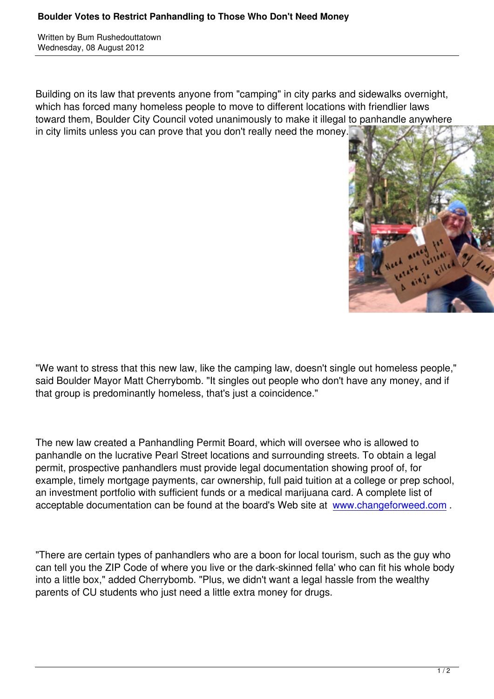Written by Bum Rushedouttatown by Bum Rushedouttatown by Bum Rushedouttatown by Bum Rushedouttatown by Bum Rus

Building on its law that prevents anyone from "camping" in city parks and sidewalks overnight, which has forced many homeless people to move to different locations with friendlier laws toward them, Boulder City Council voted unanimously to make it illegal to panhandle anywhere in city limits unless you can prove that you don't really need the money.



"We want to stress that this new law, like the camping law, doesn't single out homeless people," said Boulder Mayor Matt Cherrybomb. "It singles out people who don't have any money, and if that group is predominantly homeless, that's just a coincidence."

The new law created a Panhandling Permit Board, which will oversee who is allowed to panhandle on the lucrative Pearl Street locations and surrounding streets. To obtain a legal permit, prospective panhandlers must provide legal documentation showing proof of, for example, timely mortgage payments, car ownership, full paid tuition at a college or prep school, an investment portfolio with sufficient funds or a medical marijuana card. A complete list of acceptable documentation can be found at the board's Web site at www.changeforweed.com .

"There are certain types of panhandlers who are a boon for local to[urism, such as the guy who](http://www.changeforweed.com/) can tell you the ZIP Code of where you live or the dark-skinned fella' who can fit his whole body into a little box," added Cherrybomb. "Plus, we didn't want a legal hassle from the wealthy parents of CU students who just need a little extra money for drugs.